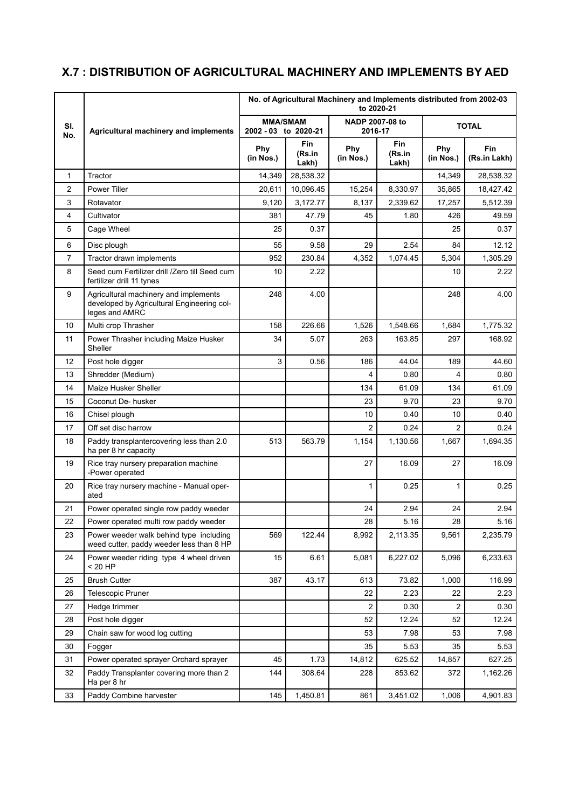## **X.7 : DISTRIBUTION OF AGRICULTURAL MACHINERY AND IMPLEMENTS BY AED**

|                | Agricultural machinery and implements                                                                 | No. of Agricultural Machinery and Implements distributed from 2002-03<br>to 2020-21 |                        |                            |                               |                  |                            |  |
|----------------|-------------------------------------------------------------------------------------------------------|-------------------------------------------------------------------------------------|------------------------|----------------------------|-------------------------------|------------------|----------------------------|--|
| SI.<br>No.     |                                                                                                       | <b>MMA/SMAM</b><br>2002 - 03 to 2020-21                                             |                        | NADP 2007-08 to<br>2016-17 |                               | <b>TOTAL</b>     |                            |  |
|                |                                                                                                       | Phy<br>(in Nos.)                                                                    | Fin<br>(Rs.in<br>Lakh) | Phy<br>(in Nos.)           | <b>Fin</b><br>(Rs.in<br>Lakh) | Phy<br>(in Nos.) | <b>Fin</b><br>(Rs.in Lakh) |  |
| $\mathbf{1}$   | Tractor                                                                                               | 14,349                                                                              | 28,538.32              |                            |                               | 14,349           | 28,538.32                  |  |
| 2              | Power Tiller                                                                                          | 20,611                                                                              | 10,096.45              | 15,254                     | 8,330.97                      | 35,865           | 18,427.42                  |  |
| 3              | Rotavator                                                                                             | 9,120                                                                               | 3,172.77               | 8,137                      | 2,339.62                      | 17,257           | 5,512.39                   |  |
| $\overline{4}$ | Cultivator                                                                                            | 381                                                                                 | 47.79                  | 45                         | 1.80                          | 426              | 49.59                      |  |
| 5              | Cage Wheel                                                                                            | 25                                                                                  | 0.37                   |                            |                               | 25               | 0.37                       |  |
| 6              | Disc plough                                                                                           | 55                                                                                  | 9.58                   | 29                         | 2.54                          | 84               | 12.12                      |  |
| 7              | Tractor drawn implements                                                                              | 952                                                                                 | 230.84                 | 4,352                      | 1,074.45                      | 5,304            | 1,305.29                   |  |
| 8              | Seed cum Fertilizer drill /Zero till Seed cum<br>fertilizer drill 11 tynes                            | 10                                                                                  | 2.22                   |                            |                               | 10               | 2.22                       |  |
| 9              | Agricultural machinery and implements<br>developed by Agricultural Engineering col-<br>leges and AMRC | 248                                                                                 | 4.00                   |                            |                               | 248              | 4.00                       |  |
| 10             | Multi crop Thrasher                                                                                   | 158                                                                                 | 226.66                 | 1,526                      | 1,548.66                      | 1.684            | 1,775.32                   |  |
| 11             | Power Thrasher including Maize Husker<br>Sheller                                                      | 34                                                                                  | 5.07                   | 263                        | 163.85                        | 297              | 168.92                     |  |
| 12             | Post hole digger                                                                                      | 3                                                                                   | 0.56                   | 186                        | 44.04                         | 189              | 44.60                      |  |
| 13             | Shredder (Medium)                                                                                     |                                                                                     |                        | 4                          | 0.80                          | 4                | 0.80                       |  |
| 14             | Maize Husker Sheller                                                                                  |                                                                                     |                        | 134                        | 61.09                         | 134              | 61.09                      |  |
| 15             | Coconut De- husker                                                                                    |                                                                                     |                        | 23                         | 9.70                          | 23               | 9.70                       |  |
| 16             | Chisel plough                                                                                         |                                                                                     |                        | 10                         | 0.40                          | 10               | 0.40                       |  |
| 17             | Off set disc harrow                                                                                   |                                                                                     |                        | $\overline{2}$             | 0.24                          | $\overline{2}$   | 0.24                       |  |
| 18             | Paddy transplantercovering less than 2.0<br>ha per 8 hr capacity                                      | 513                                                                                 | 563.79                 | 1,154                      | 1,130.56                      | 1,667            | 1,694.35                   |  |
| 19             | Rice tray nursery preparation machine<br>-Power operated                                              |                                                                                     |                        | 27                         | 16.09                         | 27               | 16.09                      |  |
| 20             | Rice tray nursery machine - Manual oper-<br>ated                                                      |                                                                                     |                        | $\mathbf{1}$               | 0.25                          | $\mathbf{1}$     | 0.25                       |  |
| 21             | Power operated single row paddy weeder                                                                |                                                                                     |                        | 24                         | 2.94                          | 24               | 2.94                       |  |
| 22             | Power operated multi row paddy weeder                                                                 |                                                                                     |                        | 28                         | 5.16                          | 28               | 5.16                       |  |
| 23             | Power weeder walk behind type including<br>weed cutter, paddy weeder less than 8 HP                   | 569                                                                                 | 122.44                 | 8,992                      | 2,113.35                      | 9,561            | 2,235.79                   |  |
| 24             | Power weeder riding type 4 wheel driven<br>$< 20$ HP                                                  | 15                                                                                  | 6.61                   | 5,081                      | 6,227.02                      | 5,096            | 6,233.63                   |  |
| 25             | <b>Brush Cutter</b>                                                                                   | 387                                                                                 | 43.17                  | 613                        | 73.82                         | 1,000            | 116.99                     |  |
| 26             | Telescopic Pruner                                                                                     |                                                                                     |                        | 22                         | 2.23                          | 22               | 2.23                       |  |
| 27             | Hedge trimmer                                                                                         |                                                                                     |                        | $\overline{2}$             | 0.30                          | $\overline{2}$   | 0.30                       |  |
| 28             | Post hole digger                                                                                      |                                                                                     |                        | 52                         | 12.24                         | 52               | 12.24                      |  |
| 29             | Chain saw for wood log cutting                                                                        |                                                                                     |                        | 53                         | 7.98                          | 53               | 7.98                       |  |
| 30             | Fogger                                                                                                |                                                                                     |                        | 35                         | 5.53                          | 35               | 5.53                       |  |
| 31             | Power operated sprayer Orchard sprayer                                                                | 45                                                                                  | 1.73                   | 14,812                     | 625.52                        | 14,857           | 627.25                     |  |
| 32             | Paddy Transplanter covering more than 2<br>Ha per 8 hr                                                | 144                                                                                 | 308.64                 | 228                        | 853.62                        | 372              | 1,162.26                   |  |
| 33             | Paddy Combine harvester                                                                               | 145                                                                                 | 1,450.81               | 861                        | 3,451.02                      | 1,006            | 4,901.83                   |  |